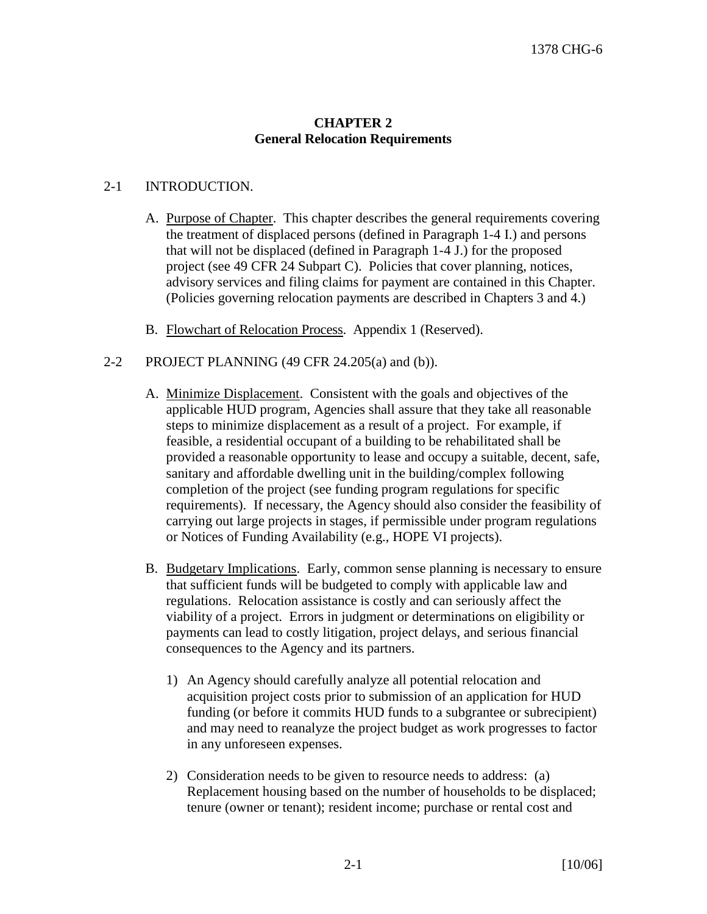## **CHAPTER 2 General Relocation Requirements**

## 2-1 INTRODUCTION.

- A. Purpose of Chapter. This chapter describes the general requirements covering the treatment of displaced persons (defined in Paragraph 1-4 I.) and persons that will not be displaced (defined in Paragraph 1-4 J.) for the proposed project (see 49 CFR 24 Subpart C). Policies that cover planning, notices, advisory services and filing claims for payment are contained in this Chapter. (Policies governing relocation payments are described in Chapters 3 and 4.)
- B. Flowchart of Relocation Process. Appendix 1 (Reserved).
- 2-2 PROJECT PLANNING  $(49 \text{ CFR } 24.205(a) \text{ and } (b))$ .
	- A. Minimize Displacement. Consistent with the goals and objectives of the applicable HUD program, Agencies shall assure that they take all reasonable steps to minimize displacement as a result of a project. For example, if feasible, a residential occupant of a building to be rehabilitated shall be provided a reasonable opportunity to lease and occupy a suitable, decent, safe, sanitary and affordable dwelling unit in the building/complex following completion of the project (see funding program regulations for specific requirements). If necessary, the Agency should also consider the feasibility of carrying out large projects in stages, if permissible under program regulations or Notices of Funding Availability (e.g., HOPE VI projects).
	- B. Budgetary Implications. Early, common sense planning is necessary to ensure that sufficient funds will be budgeted to comply with applicable law and regulations. Relocation assistance is costly and can seriously affect the viability of a project. Errors in judgment or determinations on eligibility or payments can lead to costly litigation, project delays, and serious financial consequences to the Agency and its partners.
		- 1) An Agency should carefully analyze all potential relocation and acquisition project costs prior to submission of an application for HUD funding (or before it commits HUD funds to a subgrantee or subrecipient) and may need to reanalyze the project budget as work progresses to factor in any unforeseen expenses.
		- 2) Consideration needs to be given to resource needs to address: (a) Replacement housing based on the number of households to be displaced; tenure (owner or tenant); resident income; purchase or rental cost and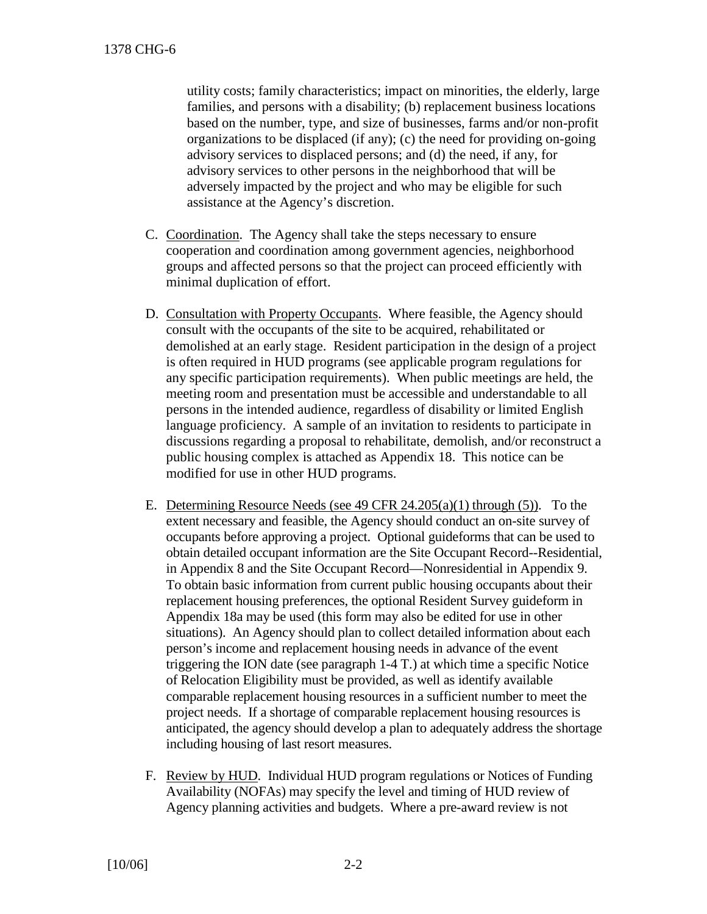utility costs; family characteristics; impact on minorities, the elderly, large families, and persons with a disability; (b) replacement business locations based on the number, type, and size of businesses, farms and/or non-profit organizations to be displaced (if any); (c) the need for providing on-going advisory services to displaced persons; and (d) the need, if any, for advisory services to other persons in the neighborhood that will be adversely impacted by the project and who may be eligible for such assistance at the Agency's discretion.

- C. Coordination. The Agency shall take the steps necessary to ensure cooperation and coordination among government agencies, neighborhood groups and affected persons so that the project can proceed efficiently with minimal duplication of effort.
- D. Consultation with Property Occupants. Where feasible, the Agency should consult with the occupants of the site to be acquired, rehabilitated or demolished at an early stage. Resident participation in the design of a project is often required in HUD programs (see applicable program regulations for any specific participation requirements). When public meetings are held, the meeting room and presentation must be accessible and understandable to all persons in the intended audience, regardless of disability or limited English language proficiency. A sample of an invitation to residents to participate in discussions regarding a proposal to rehabilitate, demolish, and/or reconstruct a public housing complex is attached as Appendix 18. This notice can be modified for use in other HUD programs.
- E. Determining Resource Needs (see 49 CFR  $24.205(a)(1)$  through (5)). To the extent necessary and feasible, the Agency should conduct an on-site survey of occupants before approving a project. Optional guideforms that can be used to obtain detailed occupant information are the Site Occupant Record--Residential, in Appendix 8 and the Site Occupant Record—Nonresidential in Appendix 9. To obtain basic information from current public housing occupants about their replacement housing preferences, the optional Resident Survey guideform in Appendix 18a may be used (this form may also be edited for use in other situations). An Agency should plan to collect detailed information about each person's income and replacement housing needs in advance of the event triggering the ION date (see paragraph 1-4 T.) at which time a specific Notice of Relocation Eligibility must be provided, as well as identify available comparable replacement housing resources in a sufficient number to meet the project needs. If a shortage of comparable replacement housing resources is anticipated, the agency should develop a plan to adequately address the shortage including housing of last resort measures.
- F. Review by HUD. Individual HUD program regulations or Notices of Funding Availability (NOFAs) may specify the level and timing of HUD review of Agency planning activities and budgets. Where a pre-award review is not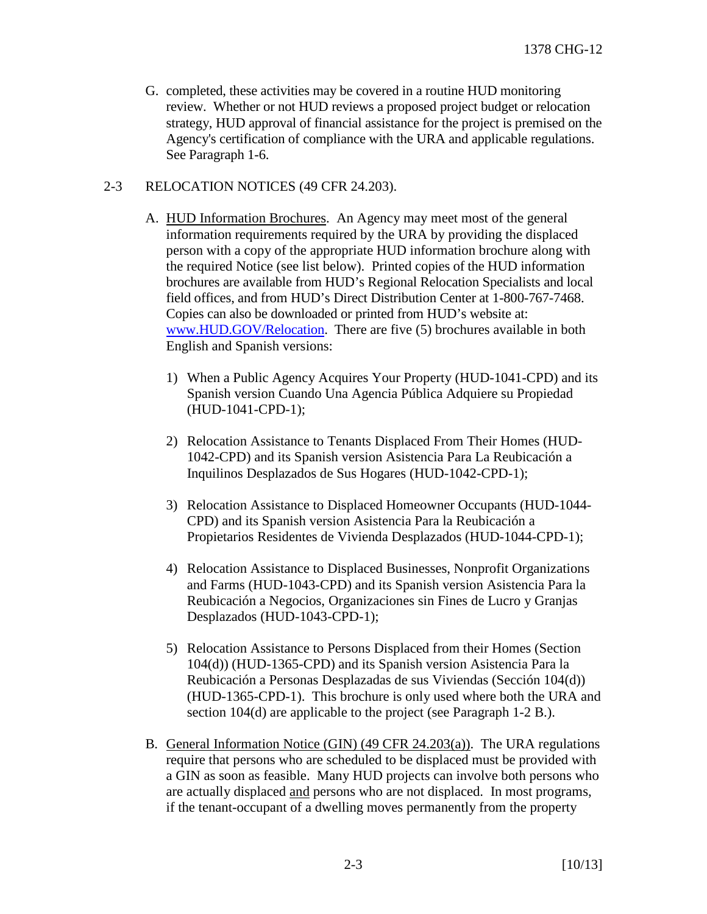G. completed, these activities may be covered in a routine HUD monitoring review. Whether or not HUD reviews a proposed project budget or relocation strategy, HUD approval of financial assistance for the project is premised on the Agency's certification of compliance with the URA and applicable regulations. See Paragraph 1-6.

## 2-3 RELOCATION NOTICES (49 CFR 24.203).

- A. HUD Information Brochures. An Agency may meet most of the general information requirements required by the URA by providing the displaced person with a copy of the appropriate HUD information brochure along with the required Notice (see list below). Printed copies of the HUD information brochures are available from HUD's Regional Relocation Specialists and local field offices, and from HUD's Direct Distribution Center at 1-800-767-7468. Copies can also be downloaded or printed from HUD's website at: [www.HUD.GOV/Relocation](http://www.hud.gov/Relocation). There are five (5) brochures available in both English and Spanish versions:
	- 1) When a Public Agency Acquires Your Property (HUD-1041-CPD) and its Spanish version Cuando Una Agencia Pública Adquiere su Propiedad (HUD-1041-CPD-1);
	- 2) Relocation Assistance to Tenants Displaced From Their Homes (HUD-1042-CPD) and its Spanish version Asistencia Para La Reubicación a Inquilinos Desplazados de Sus Hogares (HUD-1042-CPD-1);
	- 3) Relocation Assistance to Displaced Homeowner Occupants (HUD-1044- CPD) and its Spanish version Asistencia Para la Reubicación a Propietarios Residentes de Vivienda Desplazados (HUD-1044-CPD-1);
	- 4) Relocation Assistance to Displaced Businesses, Nonprofit Organizations and Farms (HUD-1043-CPD) and its Spanish version Asistencia Para la Reubicación a Negocios, Organizaciones sin Fines de Lucro y Granjas Desplazados (HUD-1043-CPD-1);
	- 5) Relocation Assistance to Persons Displaced from their Homes (Section 104(d)) (HUD-1365-CPD) and its Spanish version Asistencia Para la Reubicación a Personas Desplazadas de sus Viviendas (Sección 104(d)) (HUD-1365-CPD-1). This brochure is only used where both the URA and section 104(d) are applicable to the project (see Paragraph 1-2 B.).
- B. General Information Notice (GIN) (49 CFR 24.203(a)). The URA regulations require that persons who are scheduled to be displaced must be provided with a GIN as soon as feasible. Many HUD projects can involve both persons who are actually displaced and persons who are not displaced. In most programs, if the tenant-occupant of a dwelling moves permanently from the property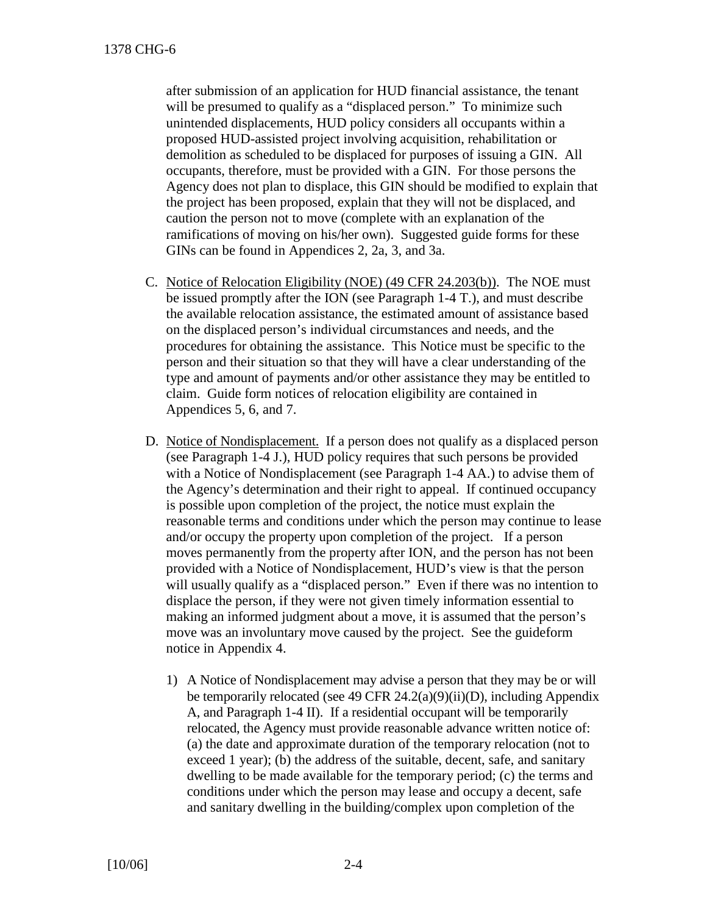after submission of an application for HUD financial assistance, the tenant will be presumed to qualify as a "displaced person." To minimize such unintended displacements, HUD policy considers all occupants within a proposed HUD-assisted project involving acquisition, rehabilitation or demolition as scheduled to be displaced for purposes of issuing a GIN. All occupants, therefore, must be provided with a GIN. For those persons the Agency does not plan to displace, this GIN should be modified to explain that the project has been proposed, explain that they will not be displaced, and caution the person not to move (complete with an explanation of the ramifications of moving on his/her own). Suggested guide forms for these GINs can be found in Appendices 2, 2a, 3, and 3a.

- C. Notice of Relocation Eligibility (NOE) (49 CFR 24.203(b)). The NOE must be issued promptly after the ION (see Paragraph 1-4 T.), and must describe the available relocation assistance, the estimated amount of assistance based on the displaced person's individual circumstances and needs, and the procedures for obtaining the assistance. This Notice must be specific to the person and their situation so that they will have a clear understanding of the type and amount of payments and/or other assistance they may be entitled to claim. Guide form notices of relocation eligibility are contained in Appendices 5, 6, and 7.
- D. Notice of Nondisplacement. If a person does not qualify as a displaced person (see Paragraph 1-4 J.), HUD policy requires that such persons be provided with a Notice of Nondisplacement (see Paragraph 1-4 AA.) to advise them of the Agency's determination and their right to appeal. If continued occupancy is possible upon completion of the project, the notice must explain the reasonable terms and conditions under which the person may continue to lease and/or occupy the property upon completion of the project. If a person moves permanently from the property after ION, and the person has not been provided with a Notice of Nondisplacement, HUD's view is that the person will usually qualify as a "displaced person." Even if there was no intention to displace the person, if they were not given timely information essential to making an informed judgment about a move, it is assumed that the person's move was an involuntary move caused by the project. See the guideform notice in Appendix 4.
	- 1) A Notice of Nondisplacement may advise a person that they may be or will be temporarily relocated (see 49 CFR 24.2(a)(9)(ii)(D), including Appendix A, and Paragraph 1-4 II). If a residential occupant will be temporarily relocated, the Agency must provide reasonable advance written notice of: (a) the date and approximate duration of the temporary relocation (not to exceed 1 year); (b) the address of the suitable, decent, safe, and sanitary dwelling to be made available for the temporary period; (c) the terms and conditions under which the person may lease and occupy a decent, safe and sanitary dwelling in the building/complex upon completion of the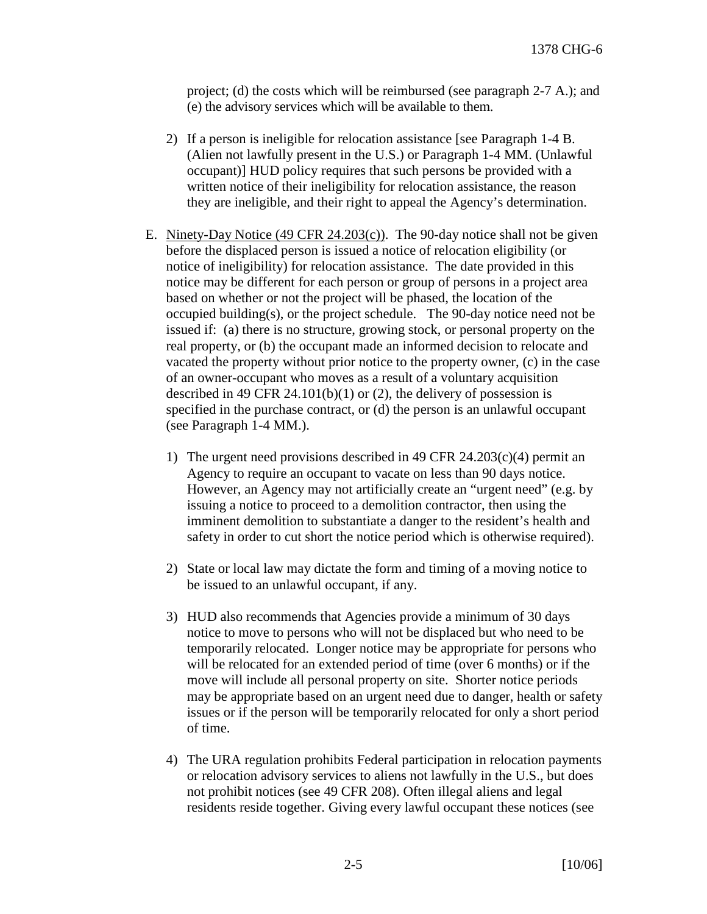project; (d) the costs which will be reimbursed (see paragraph 2-7 A.); and (e) the advisory services which will be available to them.

- 2) If a person is ineligible for relocation assistance [see Paragraph 1-4 B. (Alien not lawfully present in the U.S.) or Paragraph 1-4 MM. (Unlawful occupant)] HUD policy requires that such persons be provided with a written notice of their ineligibility for relocation assistance, the reason they are ineligible, and their right to appeal the Agency's determination.
- E. Ninety-Day Notice (49 CFR 24.203(c)). The 90-day notice shall not be given before the displaced person is issued a notice of relocation eligibility (or notice of ineligibility) for relocation assistance. The date provided in this notice may be different for each person or group of persons in a project area based on whether or not the project will be phased, the location of the occupied building(s), or the project schedule. The 90-day notice need not be issued if: (a) there is no structure, growing stock, or personal property on the real property, or (b) the occupant made an informed decision to relocate and vacated the property without prior notice to the property owner, (c) in the case of an owner-occupant who moves as a result of a voluntary acquisition described in 49 CFR 24.101(b)(1) or (2), the delivery of possession is specified in the purchase contract, or (d) the person is an unlawful occupant (see Paragraph 1-4 MM.).
	- 1) The urgent need provisions described in 49 CFR 24.203(c)(4) permit an Agency to require an occupant to vacate on less than 90 days notice. However, an Agency may not artificially create an "urgent need" (e.g. by issuing a notice to proceed to a demolition contractor, then using the imminent demolition to substantiate a danger to the resident's health and safety in order to cut short the notice period which is otherwise required).
	- 2) State or local law may dictate the form and timing of a moving notice to be issued to an unlawful occupant, if any.
	- 3) HUD also recommends that Agencies provide a minimum of 30 days notice to move to persons who will not be displaced but who need to be temporarily relocated. Longer notice may be appropriate for persons who will be relocated for an extended period of time (over 6 months) or if the move will include all personal property on site. Shorter notice periods may be appropriate based on an urgent need due to danger, health or safety issues or if the person will be temporarily relocated for only a short period of time.
	- 4) The URA regulation prohibits Federal participation in relocation payments or relocation advisory services to aliens not lawfully in the U.S., but does not prohibit notices (see 49 CFR 208). Often illegal aliens and legal residents reside together. Giving every lawful occupant these notices (see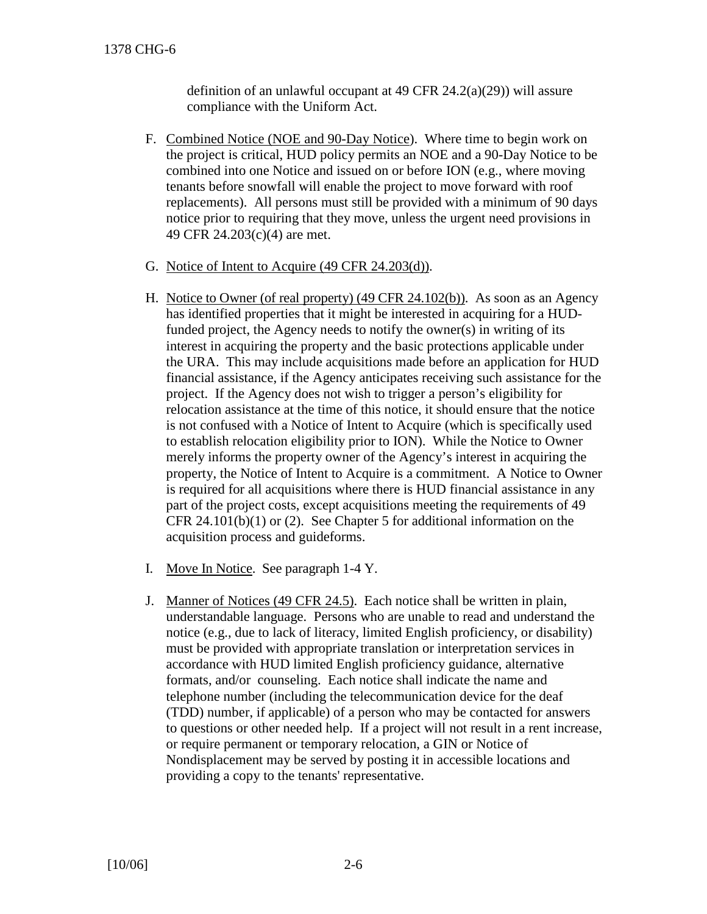definition of an unlawful occupant at 49 CFR 24.2(a)(29)) will assure compliance with the Uniform Act.

- F. Combined Notice (NOE and 90-Day Notice). Where time to begin work on the project is critical, HUD policy permits an NOE and a 90-Day Notice to be combined into one Notice and issued on or before ION (e.g., where moving tenants before snowfall will enable the project to move forward with roof replacements). All persons must still be provided with a minimum of 90 days notice prior to requiring that they move, unless the urgent need provisions in 49 CFR 24.203(c)(4) are met.
- G. Notice of Intent to Acquire (49 CFR 24.203(d)).
- H. Notice to Owner (of real property) (49 CFR 24.102(b)). As soon as an Agency has identified properties that it might be interested in acquiring for a HUDfunded project, the Agency needs to notify the owner(s) in writing of its interest in acquiring the property and the basic protections applicable under the URA. This may include acquisitions made before an application for HUD financial assistance, if the Agency anticipates receiving such assistance for the project. If the Agency does not wish to trigger a person's eligibility for relocation assistance at the time of this notice, it should ensure that the notice is not confused with a Notice of Intent to Acquire (which is specifically used to establish relocation eligibility prior to ION). While the Notice to Owner merely informs the property owner of the Agency's interest in acquiring the property, the Notice of Intent to Acquire is a commitment. A Notice to Owner is required for all acquisitions where there is HUD financial assistance in any part of the project costs, except acquisitions meeting the requirements of 49 CFR 24.101(b)(1) or (2). See Chapter 5 for additional information on the acquisition process and guideforms.
- I. Move In Notice. See paragraph 1-4 Y.
- J. Manner of Notices (49 CFR 24.5). Each notice shall be written in plain, understandable language. Persons who are unable to read and understand the notice (e.g., due to lack of literacy, limited English proficiency, or disability) must be provided with appropriate translation or interpretation services in accordance with HUD limited English proficiency guidance, alternative formats, and/or counseling. Each notice shall indicate the name and telephone number (including the telecommunication device for the deaf (TDD) number, if applicable) of a person who may be contacted for answers to questions or other needed help. If a project will not result in a rent increase, or require permanent or temporary relocation, a GIN or Notice of Nondisplacement may be served by posting it in accessible locations and providing a copy to the tenants' representative.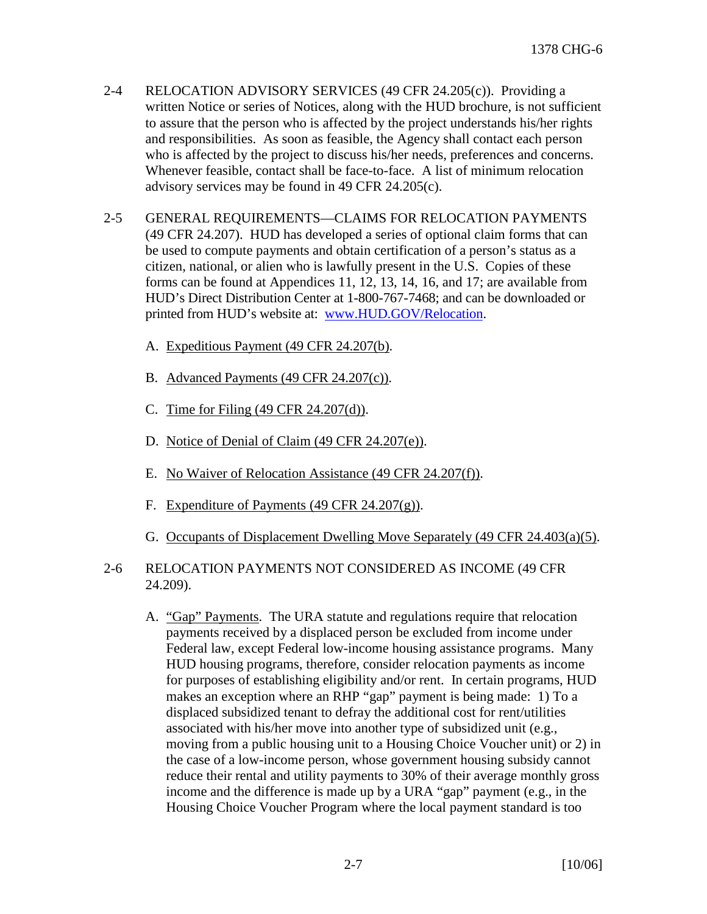- 2-4 RELOCATION ADVISORY SERVICES (49 CFR 24.205(c)). Providing a written Notice or series of Notices, along with the HUD brochure, is not sufficient to assure that the person who is affected by the project understands his/her rights and responsibilities. As soon as feasible, the Agency shall contact each person who is affected by the project to discuss his/her needs, preferences and concerns. Whenever feasible, contact shall be face-to-face. A list of minimum relocation advisory services may be found in 49 CFR 24.205(c).
- 2-5 GENERAL REQUIREMENTS—CLAIMS FOR RELOCATION PAYMENTS (49 CFR 24.207). HUD has developed a series of optional claim forms that can be used to compute payments and obtain certification of a person's status as a citizen, national, or alien who is lawfully present in the U.S. Copies of these forms can be found at Appendices 11, 12, 13, 14, 16, and 17; are available from HUD's Direct Distribution Center at 1-800-767-7468; and can be downloaded or printed from HUD's website at: [www.HUD.GOV/Relocation.](http://www.hud.gov/Relocation)
	- A. Expeditious Payment (49 CFR 24.207(b).
	- B. Advanced Payments (49 CFR 24.207(c)).
	- C. Time for Filing (49 CFR 24.207(d)).
	- D. Notice of Denial of Claim (49 CFR 24.207(e)).
	- E. No Waiver of Relocation Assistance (49 CFR 24.207(f)).
	- F. Expenditure of Payments (49 CFR 24.207(g)).
	- G. Occupants of Displacement Dwelling Move Separately (49 CFR 24.403(a)(5).
- 2-6 RELOCATION PAYMENTS NOT CONSIDERED AS INCOME (49 CFR 24.209).
	- A. "Gap" Payments. The URA statute and regulations require that relocation payments received by a displaced person be excluded from income under Federal law, except Federal low-income housing assistance programs. Many HUD housing programs, therefore, consider relocation payments as income for purposes of establishing eligibility and/or rent. In certain programs, HUD makes an exception where an RHP "gap" payment is being made: 1) To a displaced subsidized tenant to defray the additional cost for rent/utilities associated with his/her move into another type of subsidized unit (e.g., moving from a public housing unit to a Housing Choice Voucher unit) or 2) in the case of a low-income person, whose government housing subsidy cannot reduce their rental and utility payments to 30% of their average monthly gross income and the difference is made up by a URA "gap" payment (e.g., in the Housing Choice Voucher Program where the local payment standard is too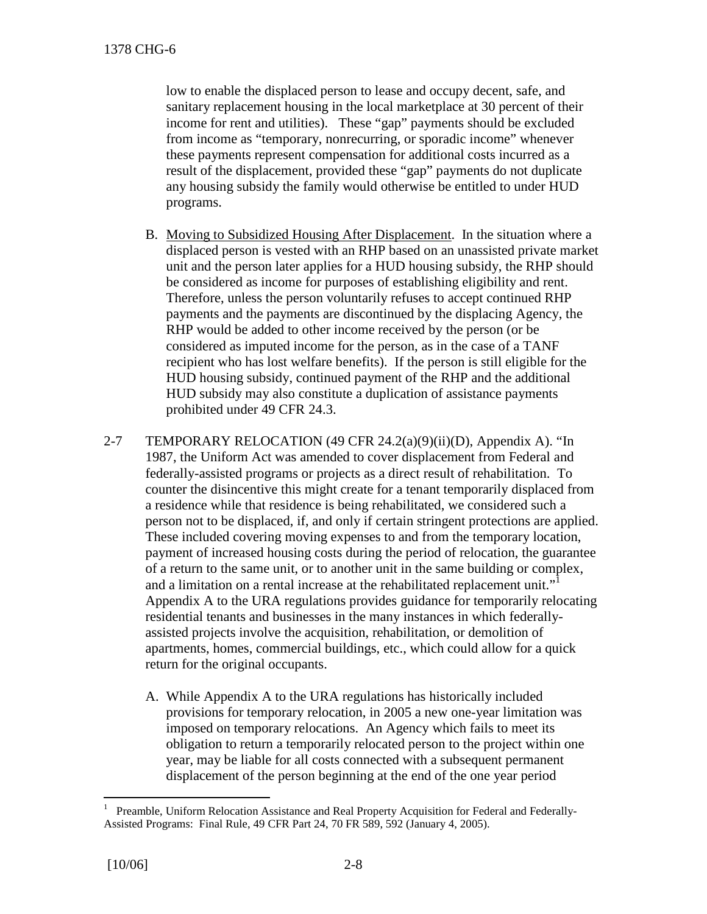low to enable the displaced person to lease and occupy decent, safe, and sanitary replacement housing in the local marketplace at 30 percent of their income for rent and utilities). These "gap" payments should be excluded from income as "temporary, nonrecurring, or sporadic income" whenever these payments represent compensation for additional costs incurred as a result of the displacement, provided these "gap" payments do not duplicate any housing subsidy the family would otherwise be entitled to under HUD programs.

- B. Moving to Subsidized Housing After Displacement. In the situation where a displaced person is vested with an RHP based on an unassisted private market unit and the person later applies for a HUD housing subsidy, the RHP should be considered as income for purposes of establishing eligibility and rent. Therefore, unless the person voluntarily refuses to accept continued RHP payments and the payments are discontinued by the displacing Agency, the RHP would be added to other income received by the person (or be considered as imputed income for the person, as in the case of a TANF recipient who has lost welfare benefits). If the person is still eligible for the HUD housing subsidy, continued payment of the RHP and the additional HUD subsidy may also constitute a duplication of assistance payments prohibited under 49 CFR 24.3.
- 2-7 TEMPORARY RELOCATION (49 CFR  $24.2(a)(9)(ii)(D)$ , Appendix A). "In 1987, the Uniform Act was amended to cover displacement from Federal and federally-assisted programs or projects as a direct result of rehabilitation. To counter the disincentive this might create for a tenant temporarily displaced from a residence while that residence is being rehabilitated, we considered such a person not to be displaced, if, and only if certain stringent protections are applied. These included covering moving expenses to and from the temporary location, payment of increased housing costs during the period of relocation, the guarantee of a return to the same unit, or to another unit in the same building or complex, anda limitation on a rental increase at the rehabilitated replacement unit."<sup>1</sup> Appendix A to the URA regulations provides guidance for temporarily relocating residential tenants and businesses in the many instances in which federallyassisted projects involve the acquisition, rehabilitation, or demolition of apartments, homes, commercial buildings, etc., which could allow for a quick return for the original occupants.
	- A. While Appendix A to the URA regulations has historically included provisions for temporary relocation, in 2005 a new one-year limitation was imposed on temporary relocations. An Agency which fails to meet its obligation to return a temporarily relocated person to the project within one year, may be liable for all costs connected with a subsequent permanent displacement of the person beginning at the end of the one year period

<span id="page-7-0"></span><sup>1</sup> Preamble, Uniform Relocation Assistance and Real Property Acquisition for Federal and Federally-Assisted Programs: Final Rule, 49 CFR Part 24, 70 FR 589, 592 (January 4, 2005).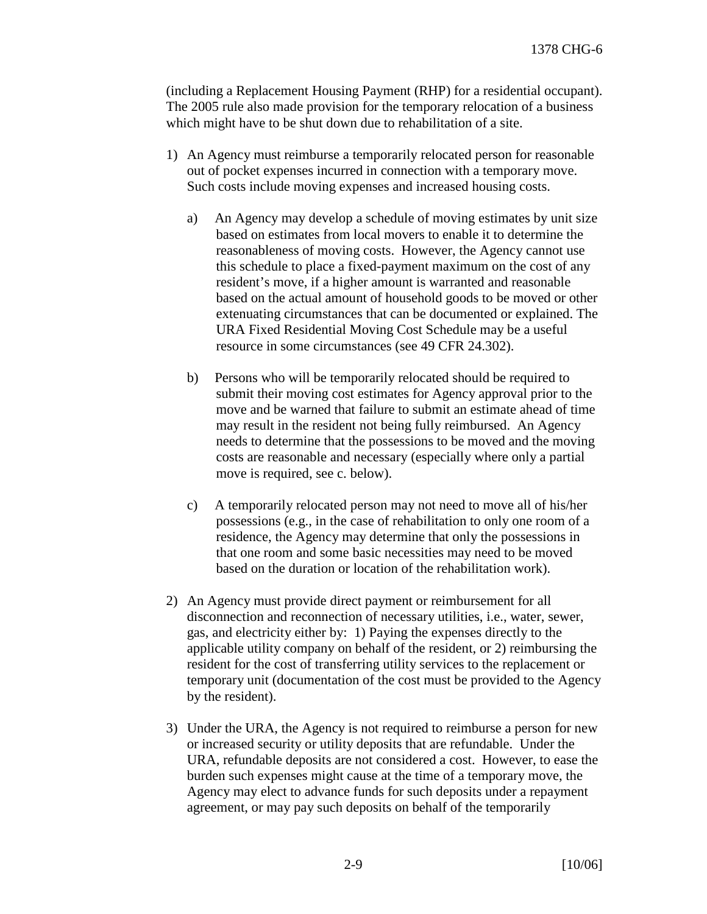(including a Replacement Housing Payment (RHP) for a residential occupant). The 2005 rule also made provision for the temporary relocation of a business which might have to be shut down due to rehabilitation of a site.

- 1) An Agency must reimburse a temporarily relocated person for reasonable out of pocket expenses incurred in connection with a temporary move. Such costs include moving expenses and increased housing costs.
	- a) An Agency may develop a schedule of moving estimates by unit size based on estimates from local movers to enable it to determine the reasonableness of moving costs. However, the Agency cannot use this schedule to place a fixed-payment maximum on the cost of any resident's move, if a higher amount is warranted and reasonable based on the actual amount of household goods to be moved or other extenuating circumstances that can be documented or explained. The URA Fixed Residential Moving Cost Schedule may be a useful resource in some circumstances (see 49 CFR 24.302).
	- b) Persons who will be temporarily relocated should be required to submit their moving cost estimates for Agency approval prior to the move and be warned that failure to submit an estimate ahead of time may result in the resident not being fully reimbursed. An Agency needs to determine that the possessions to be moved and the moving costs are reasonable and necessary (especially where only a partial move is required, see c. below).
	- c) A temporarily relocated person may not need to move all of his/her possessions (e.g., in the case of rehabilitation to only one room of a residence, the Agency may determine that only the possessions in that one room and some basic necessities may need to be moved based on the duration or location of the rehabilitation work).
- 2) An Agency must provide direct payment or reimbursement for all disconnection and reconnection of necessary utilities, i.e., water, sewer, gas, and electricity either by: 1) Paying the expenses directly to the applicable utility company on behalf of the resident, or 2) reimbursing the resident for the cost of transferring utility services to the replacement or temporary unit (documentation of the cost must be provided to the Agency by the resident).
- 3) Under the URA, the Agency is not required to reimburse a person for new or increased security or utility deposits that are refundable. Under the URA, refundable deposits are not considered a cost. However, to ease the burden such expenses might cause at the time of a temporary move, the Agency may elect to advance funds for such deposits under a repayment agreement, or may pay such deposits on behalf of the temporarily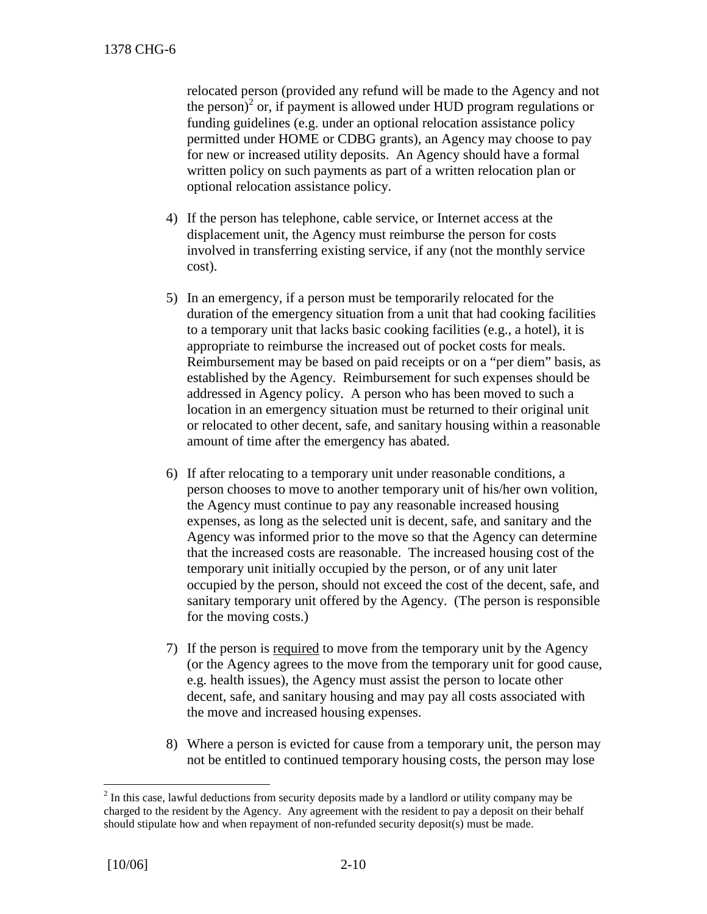relocated person (provided any refund will be made to the Agency and not the person)<sup>[2](#page-9-0)</sup> or, if payment is allowed under HUD program regulations or funding guidelines (e.g. under an optional relocation assistance policy permitted under HOME or CDBG grants), an Agency may choose to pay for new or increased utility deposits. An Agency should have a formal written policy on such payments as part of a written relocation plan or optional relocation assistance policy.

- 4) If the person has telephone, cable service, or Internet access at the displacement unit, the Agency must reimburse the person for costs involved in transferring existing service, if any (not the monthly service cost).
- 5) In an emergency, if a person must be temporarily relocated for the duration of the emergency situation from a unit that had cooking facilities to a temporary unit that lacks basic cooking facilities (e.g., a hotel), it is appropriate to reimburse the increased out of pocket costs for meals. Reimbursement may be based on paid receipts or on a "per diem" basis, as established by the Agency. Reimbursement for such expenses should be addressed in Agency policy. A person who has been moved to such a location in an emergency situation must be returned to their original unit or relocated to other decent, safe, and sanitary housing within a reasonable amount of time after the emergency has abated.
- 6) If after relocating to a temporary unit under reasonable conditions, a person chooses to move to another temporary unit of his/her own volition, the Agency must continue to pay any reasonable increased housing expenses, as long as the selected unit is decent, safe, and sanitary and the Agency was informed prior to the move so that the Agency can determine that the increased costs are reasonable. The increased housing cost of the temporary unit initially occupied by the person, or of any unit later occupied by the person, should not exceed the cost of the decent, safe, and sanitary temporary unit offered by the Agency. (The person is responsible for the moving costs.)
- 7) If the person is required to move from the temporary unit by the Agency (or the Agency agrees to the move from the temporary unit for good cause, e.g. health issues), the Agency must assist the person to locate other decent, safe, and sanitary housing and may pay all costs associated with the move and increased housing expenses.
- 8) Where a person is evicted for cause from a temporary unit, the person may not be entitled to continued temporary housing costs, the person may lose

<span id="page-9-0"></span> $2<sup>2</sup>$  In this case, lawful deductions from security deposits made by a landlord or utility company may be charged to the resident by the Agency. Any agreement with the resident to pay a deposit on their behalf should stipulate how and when repayment of non-refunded security deposit(s) must be made.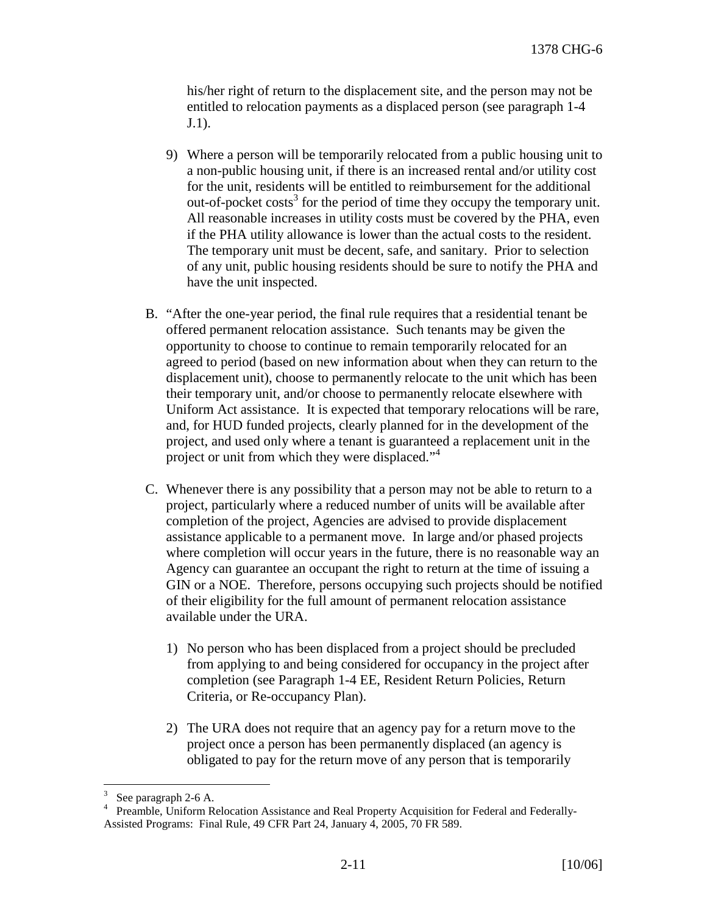his/her right of return to the displacement site, and the person may not be entitled to relocation payments as a displaced person (see paragraph 1-4 J.1).

- 9) Where a person will be temporarily relocated from a public housing unit to a non-public housing unit, if there is an increased rental and/or utility cost for the unit, residents will be entitled to reimbursement for the additional out-of-pocket $costs<sup>3</sup>$  $costs<sup>3</sup>$  $costs<sup>3</sup>$  for the period of time they occupy the temporary unit. All reasonable increases in utility costs must be covered by the PHA, even if the PHA utility allowance is lower than the actual costs to the resident. The temporary unit must be decent, safe, and sanitary. Prior to selection of any unit, public housing residents should be sure to notify the PHA and have the unit inspected.
- B. "After the one-year period, the final rule requires that a residential tenant be offered permanent relocation assistance. Such tenants may be given the opportunity to choose to continue to remain temporarily relocated for an agreed to period (based on new information about when they can return to the displacement unit), choose to permanently relocate to the unit which has been their temporary unit, and/or choose to permanently relocate elsewhere with Uniform Act assistance. It is expected that temporary relocations will be rare, and, for HUD funded projects, clearly planned for in the development of the project, and used only where a tenant is guaranteed a replacement unit in the project or unit from which they were displaced."<sup>[4](#page-10-1)</sup>
- C. Whenever there is any possibility that a person may not be able to return to a project, particularly where a reduced number of units will be available after completion of the project, Agencies are advised to provide displacement assistance applicable to a permanent move. In large and/or phased projects where completion will occur years in the future, there is no reasonable way an Agency can guarantee an occupant the right to return at the time of issuing a GIN or a NOE. Therefore, persons occupying such projects should be notified of their eligibility for the full amount of permanent relocation assistance available under the URA.
	- 1) No person who has been displaced from a project should be precluded from applying to and being considered for occupancy in the project after completion (see Paragraph 1-4 EE, Resident Return Policies, Return Criteria, or Re-occupancy Plan).
	- 2) The URA does not require that an agency pay for a return move to the project once a person has been permanently displaced (an agency is obligated to pay for the return move of any person that is temporarily

<span id="page-10-1"></span><span id="page-10-0"></span><sup>3</sup> See paragraph 2-6 A.

<sup>4</sup> Preamble, Uniform Relocation Assistance and Real Property Acquisition for Federal and Federally-Assisted Programs: Final Rule, 49 CFR Part 24, January 4, 2005, 70 FR 589.